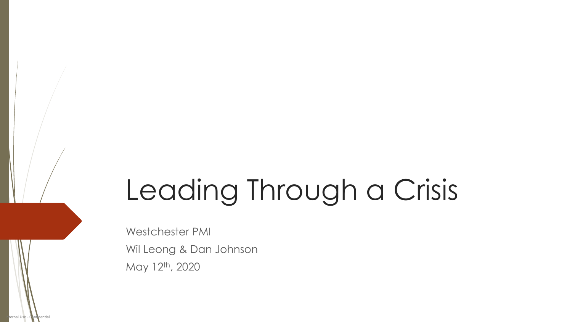# Leading Through a Crisis

Westchester PMI Wil Leong & Dan Johnson May 12th, 2020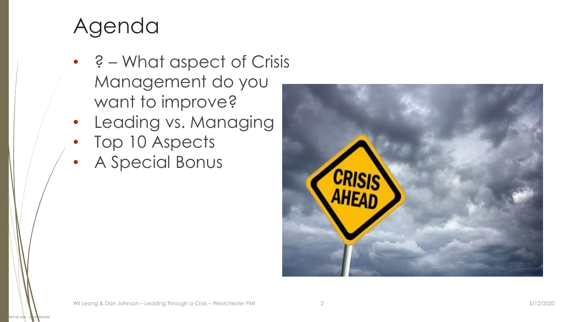## Agenda

- 2 What aspect of Crisis Management do you want to improve?
- Leading vs. Managing
- Top 10 Aspects
- A Special Bonus

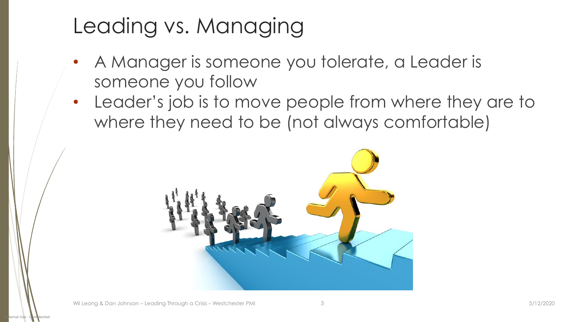# Leading vs. Managing

- A Manager is someone you tolerate, a Leader is someone you follow
- Leader's job is to move people from where they are to where they need to be (not always comfortable)

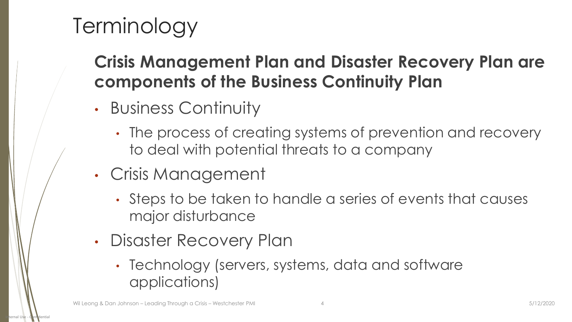# **Terminology**

#### **Crisis Management Plan and Disaster Recovery Plan are components of the Business Continuity Plan**

- Business Continuity
	- The process of creating systems of prevention and recovery to deal with potential threats to a company
- Crisis Management
	- Steps to be taken to handle a series of events that causes major disturbance
- Disaster Recovery Plan
	- Technology (servers, systems, data and software applications)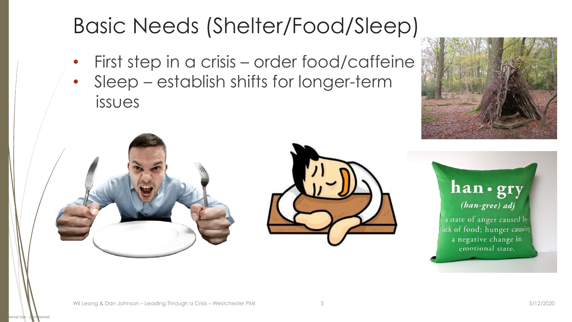### Basic Needs (Shelter/Food/Sleep)

- First step in a crisis order food/caffeine
- Sleep establish shifts for longer-term issues







han · gry (han-gree) adj

a state of anger caused by lack of food; hunger causing a negative change in emotional state.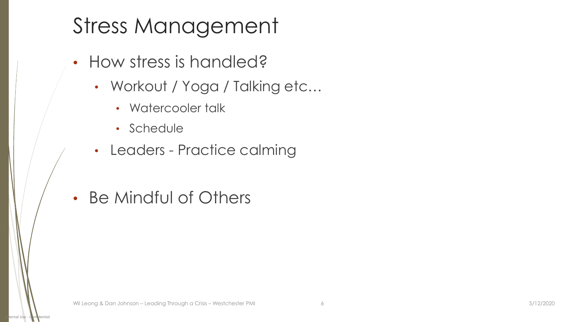#### Stress Management

- How stress is handled?
	- Workout / Yoga / Talking etc...
		- Watercooler talk
		- Schedule
	- Leaders Practice calming
- Be Mindful of Others

ernal Use -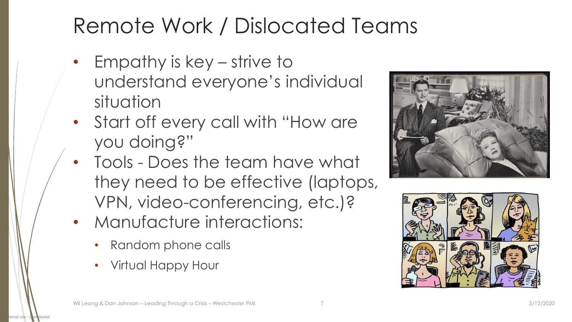### Remote Work / Dislocated Teams

- Empathy is key strive to understand everyone's individual situation
- Start off every call with "How are you doing?"
- Tools Does the team have what they need to be effective (laptops, VPN, video-conferencing, etc.)?
- Manufacture interactions:
	- Random phone calls
	- Virtual Happy Hour



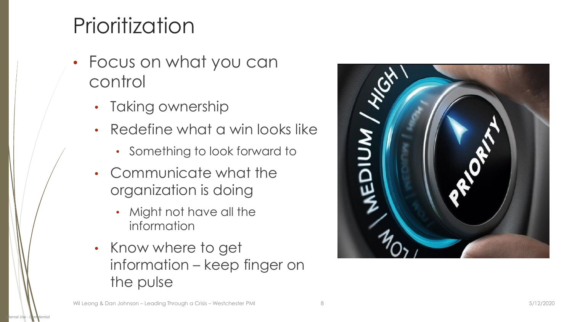# **Prioritization**

- Focus on what you can control
	- Taking ownership
	- Redefine what a win looks like
		- Something to look forward to
	- Communicate what the organization is doing
		- Might not have all the information
	- Know where to get information – keep finger on the pulse



ernal Use

- Confidential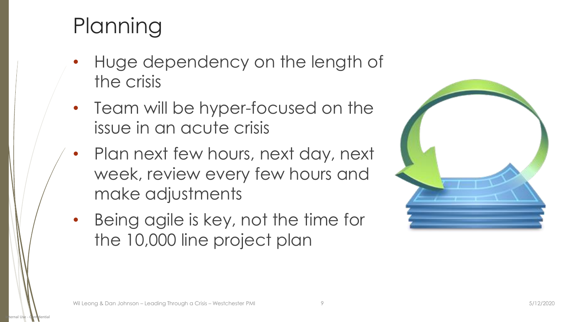# **Planning**

- Huge dependency on the length of the crisis
- Team will be hyper-focused on the issue in an acute crisis
- Plan next few hours, next day, next week, review every few hours and make adjustments
- Being agile is key, not the time for the 10,000 line project plan

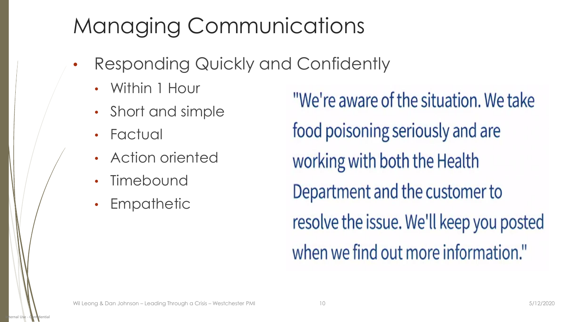# Managing Communications

- Responding Quickly and Confidently
	- Within 1 Hour
	- Short and simple
	- **Factual**

 $enal$  Use -  $C$ 

- Action oriented
- **Timebound**
- Empathetic

"We're aware of the situation. We take food poisoning seriously and are working with both the Health Department and the customer to resolve the issue. We'll keep you posted when we find out more information."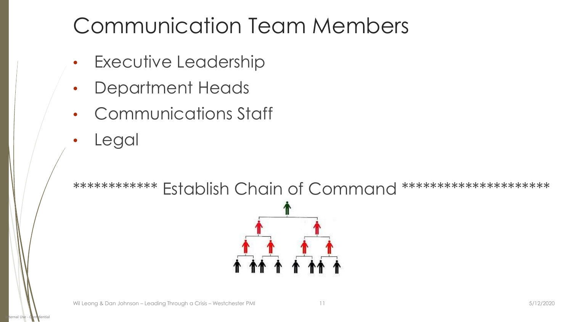### Communication Team Members

- Executive Leadership
- Department Heads
- Communications Staff
- **Legal**

ernal Use -

\*\*\*\*\*\*\*\*\*\*\*\*\* Establish Chain of Command \*\*\*\*\*\*\*\*\*\*\*\*\*\*\*\*\*\*\*\*\*\*

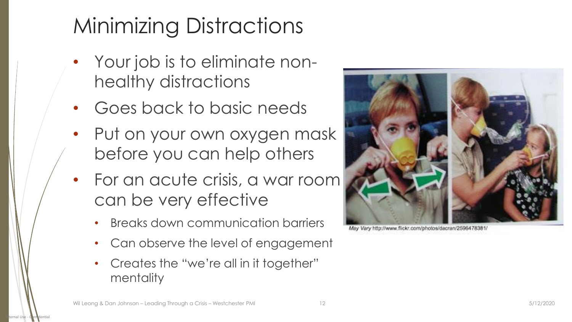# Minimizing Distractions

- Your job is to eliminate nonhealthy distractions
- Goes back to basic needs
- Put on your own oxygen mask before you can help others
- For an acute crisis, a war room can be very effective
	- Breaks down communication barriers
	- Can observe the level of engagement
	- Creates the "we're all in it together" mentality



/www.vary.http://www.flickr.com/photos/dacran/259647838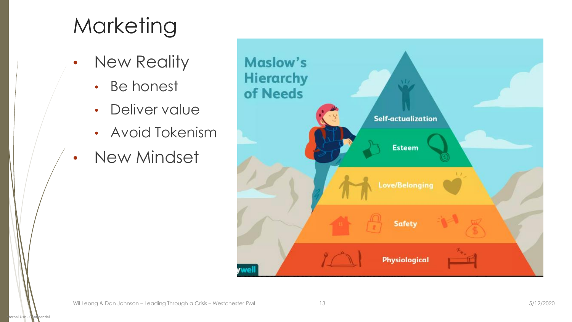# **Marketing**

- New Reality
	- Be honest
	- Deliver value
	- Avoid Tokenism
- New Mindset



 $I$ ernal Use -  $C$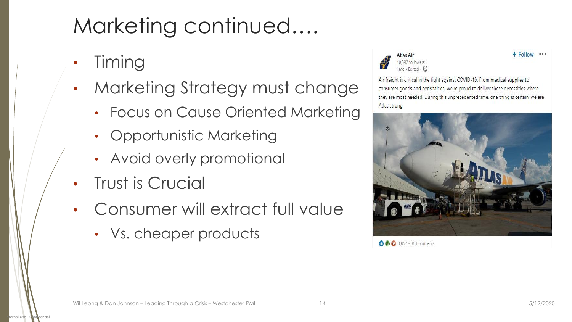# Marketing continued….

**Timing** 

ernal Use

- Marketing Strategy must change
	- Focus on Cause Oriented Marketing
	- Opportunistic Marketing
	- Avoid overly promotional
- **Trust is Crucial**
- Consumer will extract full value
	- Vs. cheaper products



 $+$  Follow  $...$ 

Air freight is critical in the fight against COVID-19. From medical supplies to consumer goods and perishables, we're proud to deliver these necessities where they are most needed. During this unprecedented time, one thing is certain: we are Atlas strong.



**○ ● ○** 1,057 · 36 Comments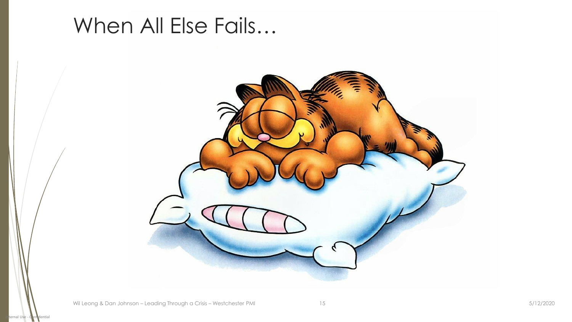#### When All Else Fails…



ternal Use -  $\ddot{\text{C}}$